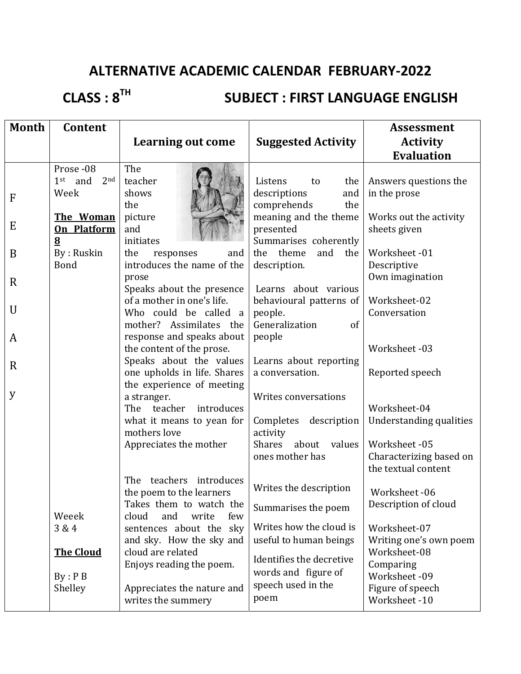# **ALTERNATIVE ACADEMIC CALENDAR FEBRUARY-2022**

**CLASS : 8TH**

## **SUBJECT : FIRST LANGUAGE ENGLISH**

| <b>Month</b> | Content                      |                                                        |                                           | <b>Assessment</b>                |
|--------------|------------------------------|--------------------------------------------------------|-------------------------------------------|----------------------------------|
|              |                              | <b>Learning out come</b>                               | <b>Suggested Activity</b>                 | <b>Activity</b>                  |
|              |                              |                                                        |                                           | <b>Evaluation</b>                |
|              | Prose -08                    | The                                                    |                                           |                                  |
|              | $1st$ and<br>2 <sub>nd</sub> | teacher                                                | Listens<br>the<br>to                      | Answers questions the            |
| F            | Week                         | shows                                                  | descriptions<br>and                       | in the prose                     |
|              |                              | the                                                    | comprehends<br>the                        |                                  |
|              | The Woman                    | picture                                                | meaning and the theme                     | Works out the activity           |
| E            | On Platform                  | and                                                    | presented                                 | sheets given                     |
|              | $\underline{8}$              | initiates                                              | Summarises coherently                     |                                  |
| B            | By: Ruskin                   | the<br>responses<br>and                                | theme<br>and the<br>the                   | Worksheet-01                     |
|              | <b>Bond</b>                  | introduces the name of the                             | description.                              | Descriptive                      |
| $\mathbf R$  |                              | prose                                                  |                                           | Own imagination                  |
|              |                              | Speaks about the presence                              | Learns about various                      |                                  |
| $\mathbf U$  |                              | of a mother in one's life.                             | behavioural patterns of                   | Worksheet-02                     |
|              |                              | Who could be called a                                  | people.                                   | Conversation                     |
|              |                              | mother? Assimilates the                                | of<br>Generalization                      |                                  |
| A            |                              | response and speaks about                              | people                                    | Worksheet-03                     |
|              |                              | the content of the prose.                              |                                           |                                  |
| $\mathbf R$  |                              | Speaks about the values<br>one upholds in life. Shares | Learns about reporting<br>a conversation. | Reported speech                  |
|              |                              | the experience of meeting                              |                                           |                                  |
| y            |                              | a stranger.                                            | Writes conversations                      |                                  |
|              |                              | The<br>teacher<br>introduces                           |                                           | Worksheet-04                     |
|              |                              | what it means to yean for                              | Completes description                     | Understanding qualities          |
|              |                              | mothers love                                           | activity                                  |                                  |
|              |                              | Appreciates the mother                                 | <b>Shares</b><br>about values             | Worksheet-05                     |
|              |                              |                                                        | ones mother has                           | Characterizing based on          |
|              |                              |                                                        |                                           | the textual content              |
|              |                              | The<br>teachers introduces                             |                                           |                                  |
|              |                              | the poem to the learners                               | Writes the description                    | Worksheet-06                     |
|              |                              | Takes them to watch the                                | Summarises the poem                       | Description of cloud             |
|              | Weeek                        | cloud<br>and<br>write<br>few                           |                                           |                                  |
|              | 3 & 4                        | sentences about the sky                                | Writes how the cloud is                   | Worksheet-07                     |
|              |                              | and sky. How the sky and                               | useful to human beings                    | Writing one's own poem           |
|              | <b>The Cloud</b>             | cloud are related                                      | Identifies the decretive                  | Worksheet-08                     |
|              |                              | Enjoys reading the poem.                               | words and figure of                       | Comparing                        |
|              | By : P B                     |                                                        | speech used in the                        | Worksheet-09                     |
|              | Shelley                      | Appreciates the nature and<br>writes the summery       | poem                                      | Figure of speech<br>Worksheet-10 |
|              |                              |                                                        |                                           |                                  |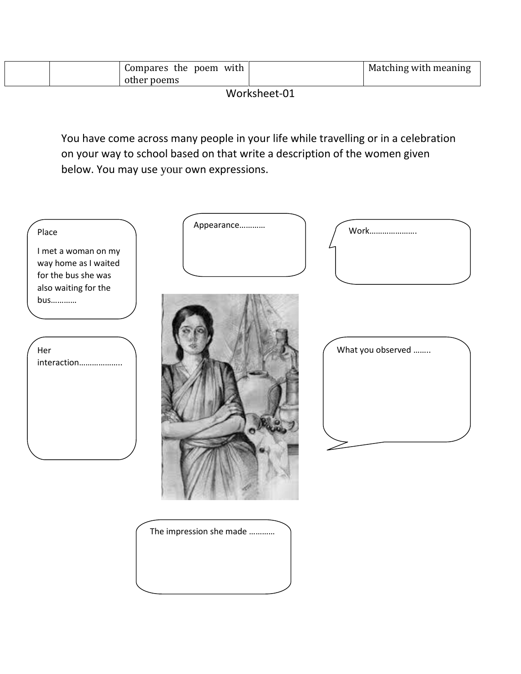| Compares<br>the poem<br>with | Matching with meaning |
|------------------------------|-----------------------|
| poems<br>otnei               |                       |

Worksheet-01

You have come across many people in your life while travelling or in a celebration on your way to school based on that write a description of the women given below. You may use your own expressions.

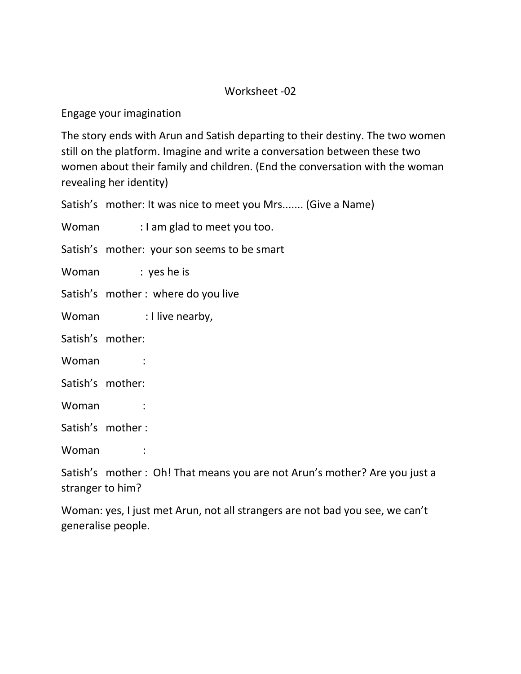#### Worksheet -02

Engage your imagination

The story ends with Arun and Satish departing to their destiny. The two women still on the platform. Imagine and write a conversation between these two women about their family and children. (End the conversation with the woman revealing her identity)

Satish's mother: It was nice to meet you Mrs....... (Give a Name)

Woman : I am glad to meet you too.

Satish's mother: your son seems to be smart

Woman : yes he is

Satish's mother : where do you live

Woman : I live nearby,

Satish's mother:

Woman :

Satish's mother:

Woman :

Satish's mother :

Woman :

Satish's mother : Oh! That means you are not Arun's mother? Are you just a stranger to him?

Woman: yes, I just met Arun, not all strangers are not bad you see, we can't generalise people.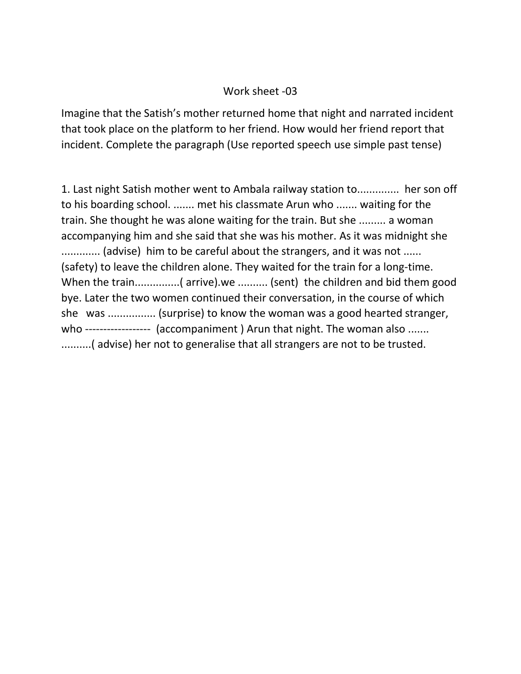#### Work sheet -03

Imagine that the Satish's mother returned home that night and narrated incident that took place on the platform to her friend. How would her friend report that incident. Complete the paragraph (Use reported speech use simple past tense)

1. Last night Satish mother went to Ambala railway station to.............. her son off to his boarding school. ....... met his classmate Arun who ....... waiting for the train. She thought he was alone waiting for the train. But she ......... a woman accompanying him and she said that she was his mother. As it was midnight she ............... (advise) him to be careful about the strangers, and it was not ...... (safety) to leave the children alone. They waited for the train for a long-time. When the train................( arrive).we .......... (sent) the children and bid them good bye. Later the two women continued their conversation, in the course of which she was ................ (surprise) to know the woman was a good hearted stranger, who ----------------- (accompaniment ) Arun that night. The woman also ....... ..........( advise) her not to generalise that all strangers are not to be trusted.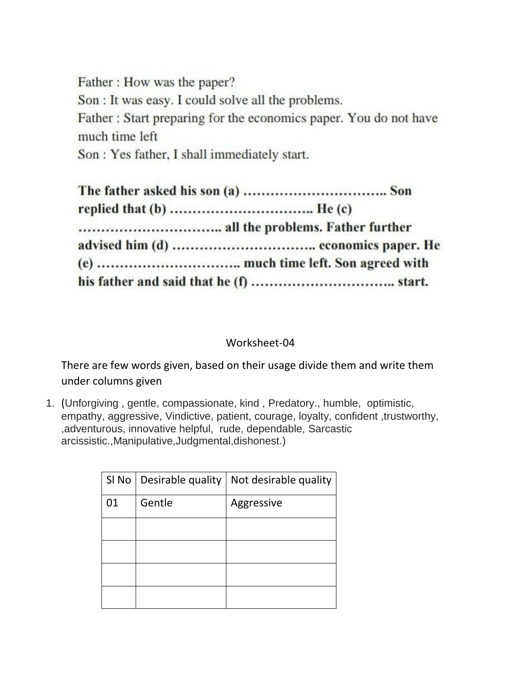Father: How was the paper? Son : It was easy. I could solve all the problems. Father: Start preparing for the economics paper. You do not have much time left

Son: Yes father, I shall immediately start.

#### Worksheet-04

There are few words given, based on their usage divide them and write them under columns given

1. (Unforgiving , gentle, compassionate, kind , Predatory., humble, optimistic, empathy, aggressive, Vindictive, patient, courage, loyalty, confident ,trustworthy, ,adventurous, innovative helpful, rude, dependable, Sarcastic arcissistic.,Manipulative,Judgmental,dishonest.)

|    | SI No   Desirable quality | Not desirable quality |
|----|---------------------------|-----------------------|
| 01 | Gentle                    | Aggressive            |
|    |                           |                       |
|    |                           |                       |
|    |                           |                       |
|    |                           |                       |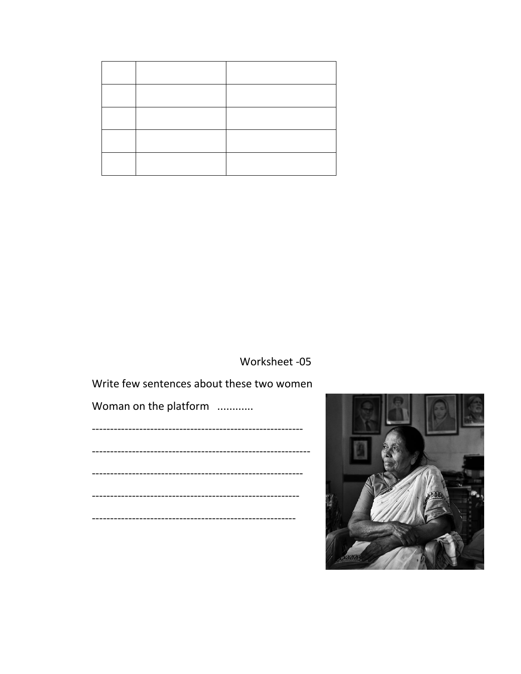Worksheet -05

Write few sentences about these two women

Woman on the platform ............

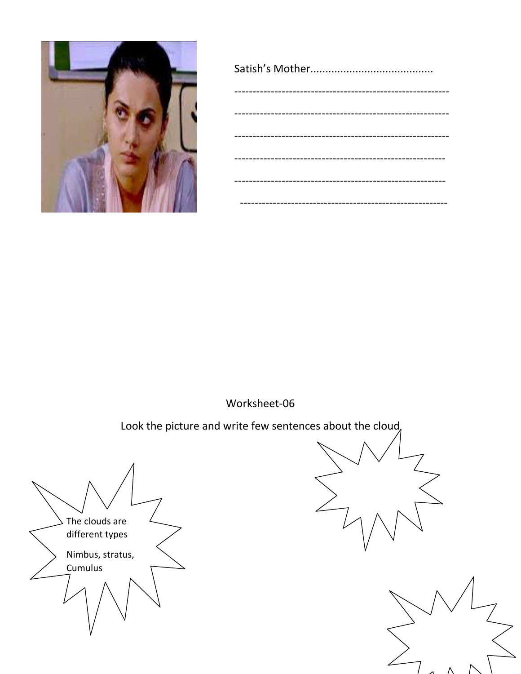

Worksheet-06

Look the picture and write few sentences about the cloud,

The clouds are different types Nimbus, stratus, Cumulus



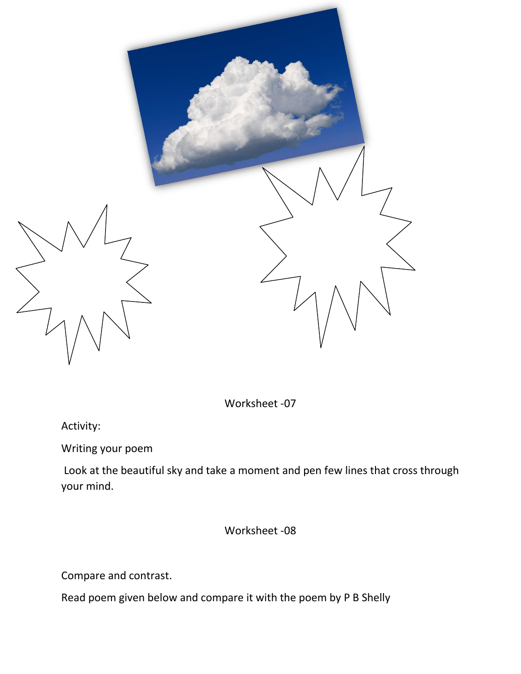

Worksheet -07

Activity:

Writing your poem

Look at the beautiful sky and take a moment and pen few lines that cross through your mind.

Worksheet -08

Compare and contrast.

Read poem given below and compare it with the poem by P B Shelly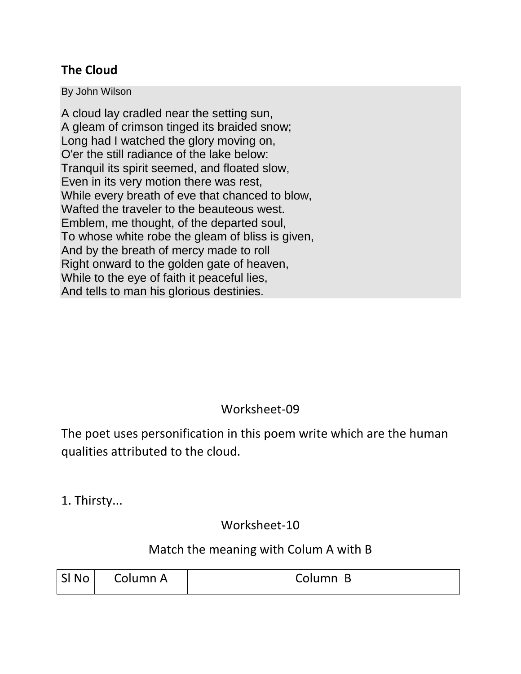## **The Cloud**

By John Wilson

A cloud lay cradled near the setting sun, A gleam of crimson tinged its braided snow; Long had I watched the glory moving on, O'er the still radiance of the lake below: Tranquil its spirit seemed, and floated slow, Even in its very motion there was rest, While every breath of eve that chanced to blow, Wafted the traveler to the beauteous west. Emblem, me thought, of the departed soul, To whose white robe the gleam of bliss is given, And by the breath of mercy made to roll Right onward to the golden gate of heaven, While to the eye of faith it peaceful lies, And tells to man his glorious destinies.

## Worksheet-09

The poet uses personification in this poem write which are the human qualities attributed to the cloud.

1. Thirsty...

Worksheet-10

### Match the meaning with Colum A with B

| SI No | Column A | Column B |
|-------|----------|----------|
|       |          |          |